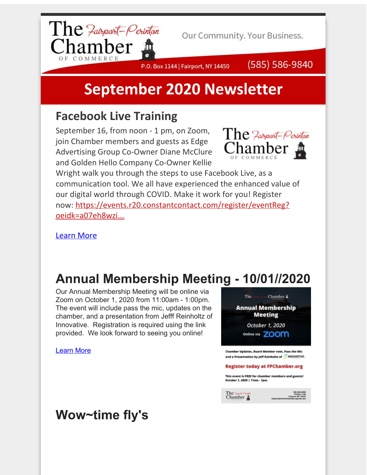

Our Community. Your Business.

P.O. Box 1144 | Fairport, NY 14450

(585) 586-9840

# **September 2020 Newsletter**

## **Facebook Live Training**

September 16, from noon - 1 pm, on Zoom, join Chamber members and guests as Edge Advertising Group Co-Owner Diane McClure and Golden Hello Company Co-Owner Kellie



Wright walk you through the steps to use Facebook Live, as a communication tool. We all have experienced the enhanced value of our digital world through COVID. Make it work for you! Register now: [https://events.r20.constantcontact.com/register/eventReg?](http://r20.rs6.net/tn.jsp?f=001DAOTKYQGHsY2XOVXuCpeNSVeMmf9s88gac3yNbWPRTq16Ny1jtv0DiYZTbqaAO69Exk5nDQXWO77ZTsMPu4gmqZw6kat8Bzl3wutlTsOnqOf8F8e0hW-SFx8hIcExIt8YV4QC1WJkraOznTW266y7ARvp3NJ6wNJCaxB_WxDRszL4zsGUPR31N-6Q3JK-jJH_rdS0HOUlhzqceFmfomTUV_m7sM1NKoSQBqQjCcN28CEDQ1numafQy5ytICgywmlt9khdJkHY5yKYxJSx1jpIRrSUV8spt-7&c=&ch=) oeidk=a07eh8wzi...

[Learn](http://r20.rs6.net/tn.jsp?f=001DAOTKYQGHsY2XOVXuCpeNSVeMmf9s88gac3yNbWPRTq16Ny1jtv0DiYZTbqaAO69Exk5nDQXWO77ZTsMPu4gmqZw6kat8Bzl3wutlTsOnqOf8F8e0hW-SFx8hIcExIt8YV4QC1WJkraOznTW266y7ARvp3NJ6wNJCaxB_WxDRszL4zsGUPR31N-6Q3JK-jJH_rdS0HOUlhzqceFmfomTUV_m7sM1NKoSQBqQjCcN28CEDQ1numafQy5ytICgywmlt9khdJkHY5yKYxJSx1jpIRrSUV8spt-7&c=&ch=) More

# **Annual Membership Meeting - 10/01//2020**

Our Annual Membership Meeting will be online via Zoom on October 1, 2020 from 11:00am - 1:00pm. The event will include pass the mic, updates on the chamber, and a presentation from Jefff Reinholtz of Innovative. Registration is required using the link provided. We look forward to seeing you online!

### [Learn](http://r20.rs6.net/tn.jsp?f=001DAOTKYQGHsY2XOVXuCpeNSVeMmf9s88gac3yNbWPRTq16Ny1jtv0DiYZTbqaAO69n8owMc7Bs2OtWeyDuNqD0a7bzdQGkULW8emLCy80Noqk9CC05uDmyIja8Q-GBDk0k0-Ufzin7dwl9FKbCzJmvhjRoaTGHgdUyEiLDhCjCsmlMsBqvabka6V8VCHJ-ld2vNkdQyuA9GDDJN7jP0AGKz95ZitE0pavJsSXER_uw68di0TO4NapzgAj5KepU8SSahape1Wl4deLYPYzZs4lmg==&c=&ch=) More



# **Wow~time fly's**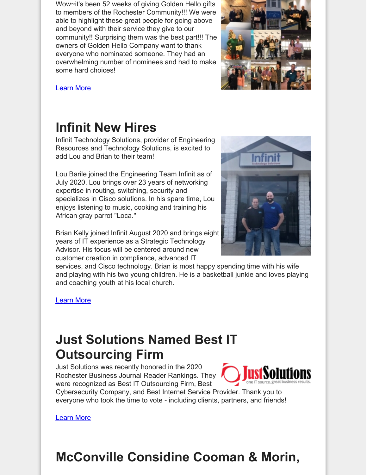Wow~it's been 52 weeks of giving Golden Hello gifts to members of the Rochester Community!!! We were able to highlight these great people for going above and beyond with their service they give to our community!! Surprising them was the best part!!! The owners of Golden Hello Company want to thank everyone who nominated someone. They had an overwhelming number of nominees and had to make some hard choices!



[Learn](http://r20.rs6.net/tn.jsp?f=001DAOTKYQGHsY2XOVXuCpeNSVeMmf9s88gac3yNbWPRTq16Ny1jtv0DiYZTbqaAO69GFAww-95wjdgfWHEUGICv2u4w4RaHbsnQG7a6pzYbvy0fawS_5-d2lbaaZ-Fbkok1crVrlwjSfW7zboBbsEVIWk50WUU_-mYKaqjFRG-qqctBcM-Juk6hA==&c=&ch=) More

# **Infinit New Hires**

Infinit Technology Solutions, provider of Engineering Resources and Technology Solutions, is excited to add Lou and Brian to their team!

Lou Barile joined the Engineering Team Infinit as of July 2020. Lou brings over 23 years of networking expertise in routing, switching, security and specializes in Cisco solutions. In his spare time, Lou enjoys listening to music, cooking and training his African gray parrot "Loca."

Brian Kelly joined Infinit August 2020 and brings eight years of IT experience as a Strategic Technology Advisor. His focus will be centered around new customer creation in compliance, advanced IT



services, and Cisco technology. Brian is most happy spending time with his wife and playing with his two young children. He is a basketball junkie and loves playing and coaching youth at his local church.

[Learn](http://r20.rs6.net/tn.jsp?f=001DAOTKYQGHsY2XOVXuCpeNSVeMmf9s88gac3yNbWPRTq16Ny1jtv0DiYZTbqaAO69ZUpfb4qSOoFO0NqX6J1a46Fc8AqoWLG3kUbQPafYuAqbRWzQ69DI6c8zNdp4a6-akoR4yI9c99AS7kveBR1ApWqB-iL2l6WL0HLugTyopFlPYjJto0LSug==&c=&ch=) More

## **Just Solutions Named Best IT Outsourcing Firm**

Just Solutions was recently honored in the 2020 Rochester Business Journal Reader Rankings. They were recognized as Best IT Outsourcing Firm, Best



Cybersecurity Company, and Best Internet Service Provider. Thank you to everyone who took the time to vote - including clients, partners, and friends!

[Learn](http://r20.rs6.net/tn.jsp?f=001DAOTKYQGHsY2XOVXuCpeNSVeMmf9s88gac3yNbWPRTq16Ny1jtv0DiYZTbqaAO69NAsNC3oxAGPg9_pTEgsG-QePG0BTz7eajFdlG4TNR6oDMK0-xk5XzC4eBFydaNXxlyIwTvxR-K8w-8jUI-0pc5pg0HOoUqJlcEeX15NdPFk=&c=&ch=) More

# **McConville Considine Cooman & Morin,**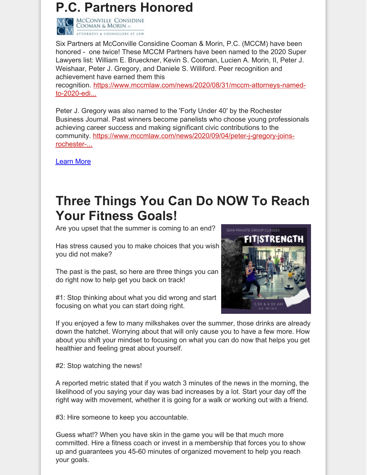### **P.C. Partners Honored**



**IC** MCCONVILLE CONSIDIN  $\Box$   $\Box$  attorneys a counselors at la

Six Partners at McConville Considine Cooman & Morin, P.C. (MCCM) have been honored - one twice! These MCCM Partners have been named to the 2020 Super Lawyers list: William E. Brueckner, Kevin S. Cooman, Lucien A. Morin, II, Peter J. Weishaar, Peter J. Gregory, and Daniele S. Williford. Peer recognition and achievement have earned them this

recognition. [https://www.mccmlaw.com/news/2020/08/31/mccm-attorneys-named](http://r20.rs6.net/tn.jsp?f=001DAOTKYQGHsY2XOVXuCpeNSVeMmf9s88gac3yNbWPRTq16Ny1jtv0DiYZTbqaAO69M9NCzBeD9KYHNO_i1JhpG0Pzzi0pua6LMvjF2bso-hB7hSzbjp0fk2SxGjvdyyLlUupnTxhRcwaalV3gKWKYa5NoHGcpk6obMSo1dBeWsXqG9EYRPADs4RplERsO_lF2WXoEh4t7-o_hQM2I2Dv-h3WW_3QvF40Xb9I3wUwBAmLzWz0q3_XmoW8JOUkpwem_njGFmUyadbmNQCVGwWPiDw==&c=&ch=)to-2020-edi...

Peter J. Gregory was also named to the 'Forty Under 40' by the Rochester Business Journal. Past winners become panelists who choose young professionals achieving career success and making significant civic contributions to the community. [https://www.mccmlaw.com/news/2020/09/04/peter-j-gregory-joins](http://r20.rs6.net/tn.jsp?f=001DAOTKYQGHsY2XOVXuCpeNSVeMmf9s88gac3yNbWPRTq16Ny1jtv0DiYZTbqaAO69Ybnn5rn-CAO5H9sHP66UYOmkqDfAG6jbreBtjUrSqkOB2hBim63YAl6f50JTxHE4fgUBx3i4V0Zs2nq87CtNQCI0Xf2XMybjVMmBmoIBpj85UdVNn719Ar4mgJ3E9c68RKAsusZ_qOck51a6d5wnK7iYyImDSDynpUm44ck8T0RiI-WlUhzH74Sz1MwO_b_smmDqoyFyA0Tu4qUeWrIl5W8pvLuR45TB&c=&ch=)rochester-...

[Learn](http://r20.rs6.net/tn.jsp?f=001DAOTKYQGHsY2XOVXuCpeNSVeMmf9s88gac3yNbWPRTq16Ny1jtv0DrG9zGmyoyiKHYC_k7AeHDxEEIQj_JDKjSHzqmjGKo_BFa7Hqg8EtE8IEyidhxhVw_681KD_YLQBgnT3iFEJN7L38NlXBf2XQSU7Hiw3zdeL3mth0ShxMhDKmM_L452oFn0wb5eFJa0D&c=&ch=) More

## **Three Things You Can Do NOW To Reach Your Fitness Goals!**

Are you upset that the summer is coming to an end?

Has stress caused you to make choices that you wish you did not make?

The past is the past, so here are three things you can do right now to help get you back on track!

#1: Stop thinking about what you did wrong and start focusing on what you can start doing right.



If you enjoyed a few to many milkshakes over the summer, those drinks are already down the hatchet. Worrying about that will only cause you to have a few more. How about you shift your mindset to focusing on what you can do now that helps you get healthier and feeling great about yourself.

#2: Stop watching the news!

A reported metric stated that if you watch 3 minutes of the news in the morning, the likelihood of you saying your day was bad increases by a lot. Start your day off the right way with movement, whether it is going for a walk or working out with a friend.

#3: Hire someone to keep you accountable.

Guess what!? When you have skin in the game you will be that much more committed. Hire a fitness coach or invest in a membership that forces you to show up and guarantees you 45-60 minutes of organized movement to help you reach your goals.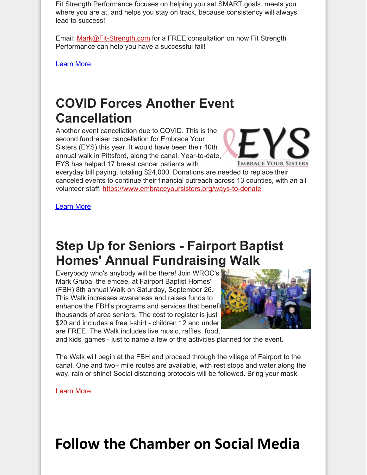Fit Strength Performance focuses on helping you set SMART goals, meets you where you are at, and helps you stay on track, because consistency will always lead to success!

Email: **[Mark@Fit-Strength.com](mailto:Mark@Fit-Strength.com)** for a FREE consultation on how Fit Strength Performance can help you have a successful fall!

[Learn](http://r20.rs6.net/tn.jsp?f=001DAOTKYQGHsY2XOVXuCpeNSVeMmf9s88gac3yNbWPRTq16Ny1jtv0DiYZTbqaAO69MkGjIQtxSf_w2eObb9oeBw2bHA63D2C5FjLcp0Sugv9YXbA9pAAi1fVEdeyP5AQeKnm18WWMyrk6O7B53nf_OXzIfls5723FnbGLHwZjxXD9z84bz_DVrmoUT7kdyEA0WbJEdLfiPXrmmITmESRTNw==&c=&ch=) More

# **COVID Forces Another Event Cancellation**

Another event cancellation due to COVID. This is the second fundraiser cancellation for Embrace Your Sisters (EYS) this year. It would have been their 10th annual walk in Pittsford, along the canal. Year-to-date, EYS has helped 17 breast cancer patients with



everyday bill paying, totaling \$24,000. Donations are needed to replace their canceled events to continue their financial outreach across 13 counties, with an all volunteer staff: [https://www.embraceyoursisters.org/ways-to-donate](http://r20.rs6.net/tn.jsp?f=001DAOTKYQGHsY2XOVXuCpeNSVeMmf9s88gac3yNbWPRTq16Ny1jtv0DiYZTbqaAO69sHW3JjYM_4gC2AxBwlpfJD-oxMfCaUbd-ShqdSeq2fsyuThP1tuDtXJNonGvBbRvMKQvDTSbKF5V5ZMPmXsp8VFWHcdoh4e4P8LPkb9KRDD9Zd7AaW0CtkVkuC2pEmmqwIyZSbO_KNU=&c=&ch=)

[Learn](http://r20.rs6.net/tn.jsp?f=001DAOTKYQGHsY2XOVXuCpeNSVeMmf9s88gac3yNbWPRTq16Ny1jtv0DiYZTbqaAO69sHW3JjYM_4gC2AxBwlpfJD-oxMfCaUbd-ShqdSeq2fsyuThP1tuDtXJNonGvBbRvMKQvDTSbKF5V5ZMPmXsp8VFWHcdoh4e4P8LPkb9KRDD9Zd7AaW0CtkVkuC2pEmmqwIyZSbO_KNU=&c=&ch=) More

# **Step Up for Seniors - Fairport Baptist Homes' Annual Fundraising Walk**

Everybody who's anybody will be there! Join WROC's Mark Gruba, the emcee, at Fairport Baptist Homes' (FBH) 8th annual Walk on Saturday, September 26. This Walk increases awareness and raises funds to enhance the FBH's programs and services that benefit thousands of area seniors. The cost to register is just \$20 and includes a free t-shirt - children 12 and under are FREE. The Walk includes live music, raffles, food,



and kids' games - just to name a few of the activities planned for the event.

The Walk will begin at the FBH and proceed through the village of Fairport to the canal. One and two+ mile routes are available, with rest stops and water along the way, rain or shine! Social distancing protocols will be followed. Bring your mask.

#### [Learn](http://r20.rs6.net/tn.jsp?f=001DAOTKYQGHsY2XOVXuCpeNSVeMmf9s88gac3yNbWPRTq16Ny1jtv0DiYZTbqaAO69qTTeg6dBXpdjOYmuIXQ7cbhpxT9jCLSuppi3nePheEdeRbY2F1lgEb2Qyl0y135EdqWDdASfkrEYO9H6ra2aImoDCqBAo9I6y0_Q8gJwH3uUKpNN31KgHlN_lHNXirGEPyAjaPCrZtjzlSIKXguuzw==&c=&ch=) More

# **Follow the Chamber on Social Media**